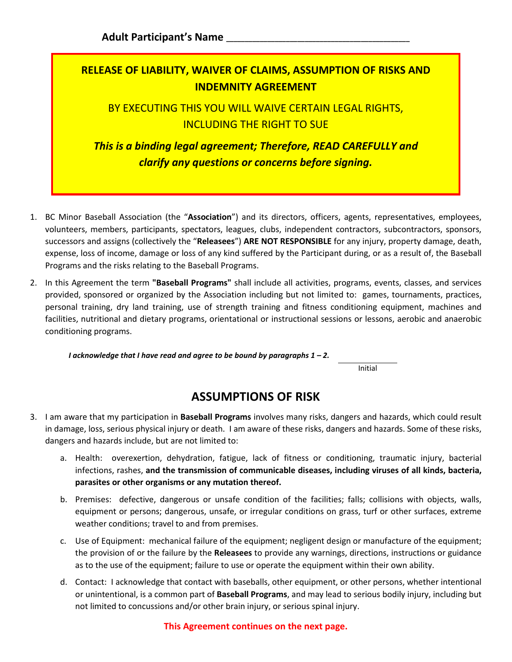## **RELEASE OF LIABILITY, WAIVER OF CLAIMS, ASSUMPTION OF RISKS AND INDEMNITY AGREEMENT**

BY EXECUTING THIS YOU WILL WAIVE CERTAIN LEGAL RIGHTS, INCLUDING THE RIGHT TO SUE

*This is a binding legal agreement; Therefore, READ CAREFULLY and clarify any questions or concerns before signing.* 

- 1. BC Minor Baseball Association (the "**Association**") and its directors, officers, agents, representatives, employees, volunteers, members, participants, spectators, leagues, clubs, independent contractors, subcontractors, sponsors, successors and assigns (collectively the "**Releasees**") **ARE NOT RESPONSIBLE** for any injury, property damage, death, expense, loss of income, damage or loss of any kind suffered by the Participant during, or as a result of, the Baseball Programs and the risks relating to the Baseball Programs.
- 2. In this Agreement the term **"Baseball Programs"** shall include all activities, programs, events, classes, and services provided, sponsored or organized by the Association including but not limited to: games, tournaments, practices, personal training, dry land training, use of strength training and fitness conditioning equipment, machines and facilities, nutritional and dietary programs, orientational or instructional sessions or lessons, aerobic and anaerobic conditioning programs.

*I acknowledge that I have read and agree to be bound by paragraphs 1 – 2.* 

Initial

## **ASSUMPTIONS OF RISK**

- 3. I am aware that my participation in **Baseball Programs** involves many risks, dangers and hazards, which could result in damage, loss, serious physical injury or death. I am aware of these risks, dangers and hazards. Some of these risks, dangers and hazards include, but are not limited to:
	- a. Health: overexertion, dehydration, fatigue, lack of fitness or conditioning, traumatic injury, bacterial infections, rashes, **and the transmission of communicable diseases, including viruses of all kinds, bacteria, parasites or other organisms or any mutation thereof.**
	- b. Premises: defective, dangerous or unsafe condition of the facilities; falls; collisions with objects, walls, equipment or persons; dangerous, unsafe, or irregular conditions on grass, turf or other surfaces, extreme weather conditions; travel to and from premises.
	- c. Use of Equipment: mechanical failure of the equipment; negligent design or manufacture of the equipment; the provision of or the failure by the **Releasees** to provide any warnings, directions, instructions or guidance as to the use of the equipment; failure to use or operate the equipment within their own ability.
	- d. Contact: I acknowledge that contact with baseballs, other equipment, or other persons, whether intentional or unintentional, is a common part of **Baseball Programs**, and may lead to serious bodily injury, including but not limited to concussions and/or other brain injury, or serious spinal injury.

**This Agreement continues on the next page.**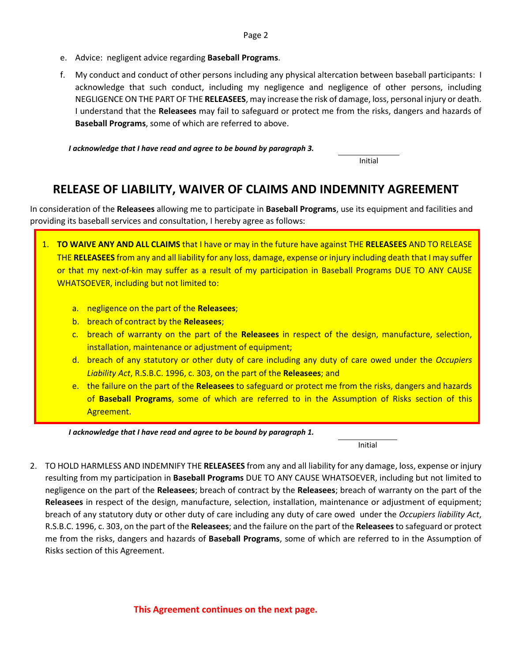- e. Advice: negligent advice regarding **Baseball Programs**.
- f. My conduct and conduct of other persons including any physical altercation between baseball participants: I acknowledge that such conduct, including my negligence and negligence of other persons, including NEGLIGENCE ON THE PART OF THE **RELEASEES**, may increase the risk of damage, loss, personal injury or death. I understand that the **Releasees** may fail to safeguard or protect me from the risks, dangers and hazards of **Baseball Programs**, some of which are referred to above.

*I acknowledge that I have read and agree to be bound by paragraph 3.* 

Initial

## **RELEASE OF LIABILITY, WAIVER OF CLAIMS AND INDEMNITY AGREEMENT**

In consideration of the **Releasees** allowing me to participate in **Baseball Programs**, use its equipment and facilities and providing its baseball services and consultation, I hereby agree as follows:

- 1. **TO WAIVE ANY AND ALL CLAIMS** that I have or may in the future have against THE **RELEASEES** AND TO RELEASE THE **RELEASEES** from any and all liability for any loss, damage, expense or injury including death that I may suffer or that my next-of-kin may suffer as a result of my participation in Baseball Programs DUE TO ANY CAUSE WHATSOEVER, including but not limited to:
	- a. negligence on the part of the **Releasees**;
	- b. breach of contract by the **Releasees**;
	- c. breach of warranty on the part of the **Releasees** in respect of the design, manufacture, selection, installation, maintenance or adjustment of equipment;
	- d. breach of any statutory or other duty of care including any duty of care owed under the *Occupiers Liability Act*, R.S.B.C. 1996, c. 303, on the part of the **Releasees**; and
	- e. the failure on the part of the **Releasees** to safeguard or protect me from the risks, dangers and hazards of **Baseball Programs**, some of which are referred to in the Assumption of Risks section of this Agreement.

*I acknowledge that I have read and agree to be bound by paragraph 1.* 

Initial

2. TO HOLD HARMLESS AND INDEMNIFY THE **RELEASEES** from any and all liability for any damage, loss, expense or injury resulting from my participation in **Baseball Programs** DUE TO ANY CAUSE WHATSOEVER, including but not limited to negligence on the part of the **Releasees**; breach of contract by the **Releasees**; breach of warranty on the part of the **Releasees** in respect of the design, manufacture, selection, installation, maintenance or adjustment of equipment; breach of any statutory duty or other duty of care including any duty of care owed under the *Occupiers liability Act*, R.S.B.C. 1996, c. 303, on the part of the **Releasees**; and the failure on the part of the **Releasees**to safeguard or protect me from the risks, dangers and hazards of **Baseball Programs**, some of which are referred to in the Assumption of Risks section of this Agreement.